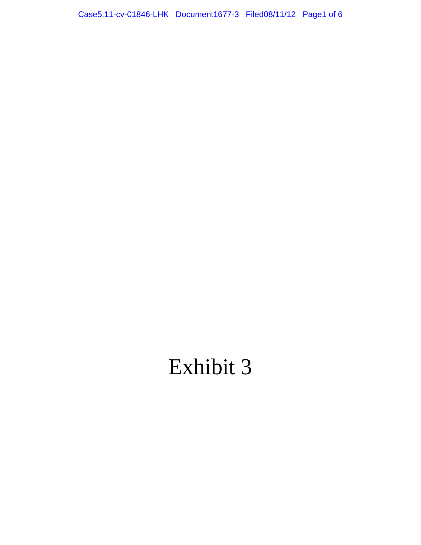Case5:11-cv-01846-LHK Document1677-3 Filed08/11/12 Page1 of 6

# Exhibit 3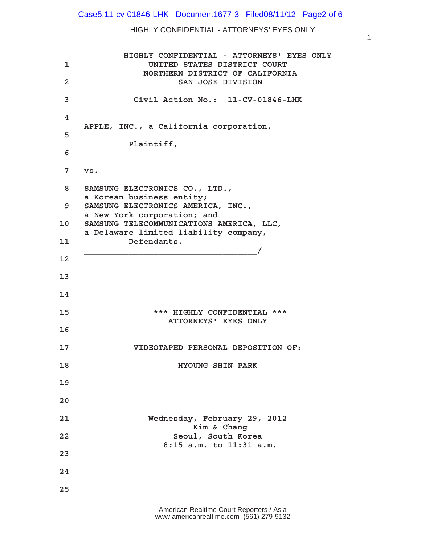#### Case5:11-cv-01846-LHK Document1677-3 Filed08/11/12 Page2 of 6

#### HIGHLY CONFIDENTIAL - ATTORNEYS' EYES ONLY

1

**· · · · · · ·HIGHLY CONFIDENTIAL - ATTORNEYS' EYES ONLY ·1· · · · · · · · UNITED STATES DISTRICT COURT · · · · · · · · ·NORTHERN DISTRICT OF CALIFORNIA ·2· · · · · · · · · · · SAN JOSE DIVISION ·3· · · · · · ·Civil Action No.:· 11-CV-01846-LHK ·4 · · ·APPLE, INC., a California corporation, ·5** Plaintiff, **·6**  $7 \mid \text{vs.}$ **·8· ·SAMSUNG ELECTRONICS CO., LTD., · · ·a Korean business entity; ·9· ·SAMSUNG ELECTRONICS AMERICA, INC., · · ·a New York corporation; and** 10 | SAMSUNG TELECOMMUNICATIONS AMERICA, LLC, a Delaware limited liability company, 11 Defendants. **· · ·\_\_\_\_\_\_\_\_\_\_\_\_\_\_\_\_\_\_\_\_\_\_\_\_\_\_\_\_\_\_\_\_\_\_\_/ 12 13 14 15· · · · · · · · ·\*\*\* HIGHLY CONFIDENTIAL \*\*\* · · · · · · · · · · · ATTORNEYS' EYES ONLY 16 17· · · · · · ·VIDEOTAPED PERSONAL DEPOSITION OF: 18· · · · · · · · · · · HYOUNG SHIN PARK 19 20** 21 **Wednesday, February 29, 2012** Kim & Chang **22· · · · · · · · · · ·Seoul, South Korea · · · · · · · · · · ·8:15 a.m. to 11:31 a.m. 23 24 25**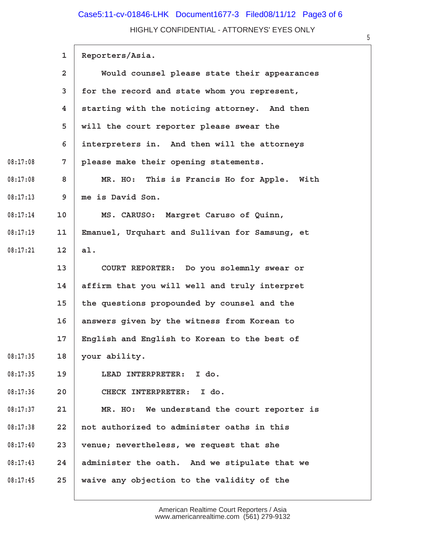## HIGHLY CONFIDENTIAL - ATTORNEYS' EYES ONLY Case5:11-cv-01846-LHK Document1677-3 Filed08/11/12 Page3 of 6

|          | 1               | Reporters/Asia.                                |
|----------|-----------------|------------------------------------------------|
|          | $\overline{2}$  | Would counsel please state their appearances   |
|          | 3               | for the record and state whom you represent,   |
|          | 4               | starting with the noticing attorney. And then  |
|          | 5               | will the court reporter please swear the       |
|          | 6               | interpreters in. And then will the attorneys   |
| 08:17:08 | 7               | please make their opening statements.          |
| 08:17:08 | 8               | MR. HO: This is Francis Ho for Apple. With     |
| 08:17:13 | 9               | me is David Son.                               |
| 08:17:14 | 10              | MS. CARUSO: Margret Caruso of Quinn,           |
| 08:17:19 | 11              | Emanuel, Urquhart and Sullivan for Samsung, et |
| 08:17:21 | 12 <sub>1</sub> | al.                                            |
|          | 13 <sup>2</sup> | COURT REPORTER: Do you solemnly swear or       |
|          | 14              | affirm that you will well and truly interpret  |
|          | 15              | the questions propounded by counsel and the    |
|          | 16              | answers given by the witness from Korean to    |
|          | 17 <sub>2</sub> | English and English to Korean to the best of   |
| 08:17:35 | 18              | your ability.                                  |
| 08:17:35 | 19              | LEAD INTERPRETER: I do.                        |
| 08:17:36 | 20              | CHECK INTERPRETER: I do.                       |
| 08:17:37 | 21              | MR. HO: We understand the court reporter is    |
| 08:17:38 | 22              | not authorized to administer oaths in this     |
| 08:17:40 | 23              | venue; nevertheless, we request that she       |
| 08:17:43 | 24              | administer the oath. And we stipulate that we  |
| 08:17:45 | 25              | waive any objection to the validity of the     |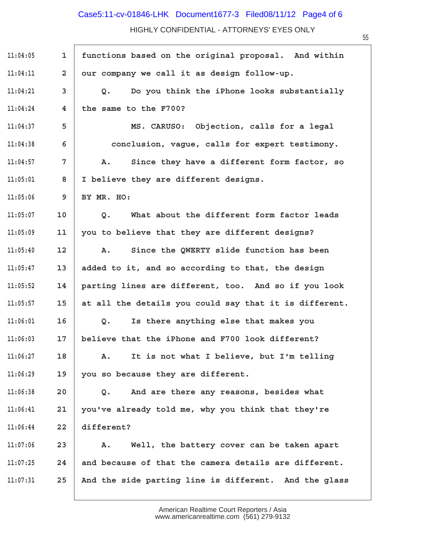## Case5:11-cv-01846-LHK Document1677-3 Filed08/11/12 Page4 of 6

HIGHLY CONFIDENTIAL - ATTORNEYS' EYES ONLY

| 11:04:05 | $\mathbf{1}$            | functions based on the original proposal. And within          |
|----------|-------------------------|---------------------------------------------------------------|
| 11:04:11 | $\overline{a}$          | our company we call it as design follow-up.                   |
| 11:04:21 | 3                       | Do you think the iPhone looks substantially<br>Q <sub>z</sub> |
| 11:04:24 | $\overline{\mathbf{4}}$ | the same to the F700?                                         |
| 11:04:37 | 5                       | MS. CARUSO: Objection, calls for a legal                      |
| 11:04:38 | 6                       | conclusion, vague, calls for expert testimony.                |
| 11:04:57 | 7                       | Since they have a different form factor, so<br>Α.             |
| 11:05:01 | 8                       | I believe they are different designs.                         |
| 11:05:06 | 9                       | BY MR. HO:                                                    |
| 11:05:07 | 10                      | What about the different form factor leads<br>Q.              |
| 11:05:09 | 11                      | you to believe that they are different designs?               |
| 11:05:40 | 12                      | Since the QWERTY slide function has been<br>Α.                |
| 11:05:47 | 13                      | added to it, and so according to that, the design             |
| 11:05:52 | 14                      | parting lines are different, too. And so if you look          |
| 11:05:57 | 15                      | at all the details you could say that it is different.        |
| 11:06:01 | 16                      | Is there anything else that makes you<br>Q.                   |
| 11:06:03 | 17                      | believe that the iPhone and F700 look different?              |
| 11:06:27 | 18                      | It is not what I believe, but I'm telling<br>Α.               |
| 11:06:29 | 19                      | you so because they are different.                            |
| 11:06:38 | 20                      | And are there any reasons, besides what<br>Q.                 |
| 11:06:41 | 21                      | you've already told me, why you think that they're            |
| 11:06:44 | 22                      | different?                                                    |
| 11:07:06 | 23                      | Well, the battery cover can be taken apart<br>Α.              |
| 11:07:25 | 24                      | and because of that the camera details are different.         |
| 11:07:31 | 25                      | And the side parting line is different. And the glass         |

American Realtime Court Reporters / Asia www.americanrealtime.com· (561) 279-9132 55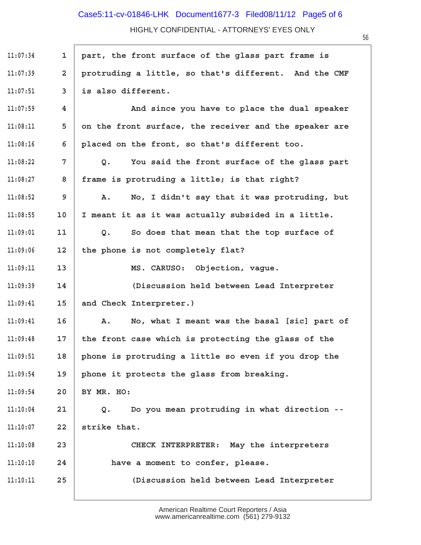## HIGHLY CONFIDENTIAL - ATTORNEYS' EYES ONLY Case5:11-cv-01846-LHK Document1677-3 Filed08/11/12 Page5 of 6

| 11:07:34 | $\mathbf{1}$   | part, the front surface of the glass part frame is          |
|----------|----------------|-------------------------------------------------------------|
| 11:07:39 | $\overline{a}$ | protruding a little, so that's different. And the CMF       |
| 11:07:51 | 3              | is also different.                                          |
| 11:07:59 | 4              | And since you have to place the dual speaker                |
| 11:08:11 | 5              | on the front surface, the receiver and the speaker are      |
| 11:08:16 | 6              | placed on the front, so that's different too.               |
| 11:08:22 | $7\phantom{.}$ | You said the front surface of the glass part<br>Q.          |
| 11:08:27 | 8              | frame is protruding a little; is that right?                |
| 11:08:52 | 9              | No, I didn't say that it was protruding, but<br>Α.          |
| 11:08:55 | 10             | I meant it as it was actually subsided in a little.         |
| 11:09:01 | 11             | So does that mean that the top surface of<br>Q <sub>o</sub> |
| 11:09:06 | 12             | the phone is not completely flat?                           |
| 11:09:11 | 13             | MS. CARUSO: Objection, vague.                               |
| 11:09:39 | 14             | (Discussion held between Lead Interpreter                   |
| 11:09:41 | 15             | and Check Interpreter.)                                     |
| 11:09:41 | 16             | No, what I meant was the basal [sic] part of<br>Α.          |
| 11:09:48 | 17             | the front case which is protecting the glass of the         |
| 11:09:51 | 18             | phone is protruding a little so even if you drop the        |
| 11:09:54 | 19             | phone it protects the glass from breaking.                  |
| 11:09:54 | 20             | BY MR. HO:                                                  |
| 11:10:04 | 21             | Do you mean protruding in what direction --<br>Q.           |
| 11:10:07 | 22             | strike that.                                                |
| 11:10:08 | 23             | CHECK INTERPRETER: May the interpreters                     |
| 11:10:10 | 24             | have a moment to confer, please.                            |
| 11:10:11 | 25             | (Discussion held between Lead Interpreter                   |

American Realtime Court Reporters / Asia www.americanrealtime.com· (561) 279-9132